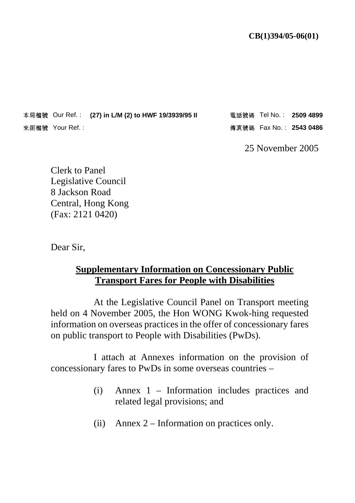本局檔號 Our Ref. : (27) in L/M (2) to HWF 19/3939/95 II 電話號碼 Tel No. : 2509 4899 **THE ASS ASSESSED ASSESSED AND REF. 2543 0486**<br>安函檔號 Your Ref. :

25 November 2005

Clerk to Panel Legislative Council 8 Jackson Road Central, Hong Kong (Fax: 2121 0420)

Dear Sir,

## **Supplementary Information on Concessionary Public Transport Fares for People with Disabilities**

 At the Legislative Council Panel on Transport meeting held on 4 November 2005, the Hon WONG Kwok-hing requested information on overseas practices in the offer of concessionary fares on public transport to People with Disabilities (PwDs).

 I attach at Annexes information on the provision of concessionary fares to PwDs in some overseas countries –

- (i) Annex 1 Information includes practices and related legal provisions; and
- (ii) Annex 2 Information on practices only.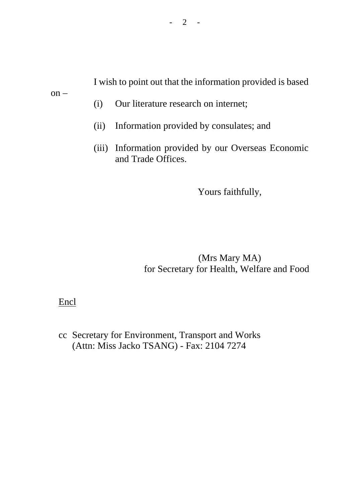I wish to point out that the information provided is based

on –

- (i) Our literature research on internet;
- (ii) Information provided by consulates; and
- (iii) Information provided by our Overseas Economic and Trade Offices.

Yours faithfully,

(Mrs Mary MA) for Secretary for Health, Welfare and Food

## Encl

cc Secretary for Environment, Transport and Works (Attn: Miss Jacko TSANG) - Fax: 2104 7274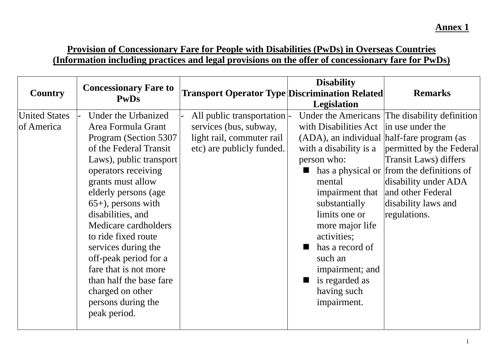## **Provision of Concessionary Fare for People with Disabilities (PwDs) in Overseas Countries (Information including practices and legal provisions on the offer of concessionary fare for PwDs)**

| <b>Country</b>                     | <b>Concessionary Fare to</b><br><b>PwDs</b>                                                                                                                                                                                                                                                                                                                                                                                                           | <b>Transport Operator Type Discrimination Related</b>                                                          | <b>Disability</b><br>Legislation                                                                                                                                                                                                                                                                                  | <b>Remarks</b>                                                                                                                                                                                                                                                |
|------------------------------------|-------------------------------------------------------------------------------------------------------------------------------------------------------------------------------------------------------------------------------------------------------------------------------------------------------------------------------------------------------------------------------------------------------------------------------------------------------|----------------------------------------------------------------------------------------------------------------|-------------------------------------------------------------------------------------------------------------------------------------------------------------------------------------------------------------------------------------------------------------------------------------------------------------------|---------------------------------------------------------------------------------------------------------------------------------------------------------------------------------------------------------------------------------------------------------------|
| <b>United States</b><br>of America | Under the Urbanized<br>Area Formula Grant<br>Program (Section 5307<br>of the Federal Transit<br>Laws), public transport<br>operators receiving<br>grants must allow<br>elderly persons (age<br>$65+$ , persons with<br>disabilities, and<br>Medicare cardholders<br>to ride fixed route<br>services during the<br>off-peak period for a<br>fare that is not more<br>than half the base fare<br>charged on other<br>persons during the<br>peak period. | All public transportation-<br>services (bus, subway,<br>light rail, commuter rail<br>etc) are publicly funded. | with Disabilities Act in use under the<br>(ADA), an individual half-fare program (as<br>with a disability is a<br>person who:<br>П<br>mental<br>substantially<br>limits one or<br>more major life<br>activities;<br>has a record of<br>such an<br>impairment; and<br>is regarded as<br>having such<br>impairment. | Under the Americans The disability definition<br>permitted by the Federal<br><b>Transit Laws</b> ) differs<br>has a physical or from the definitions of<br>disability under ADA<br>impairment that   and other Federal<br>disability laws and<br>regulations. |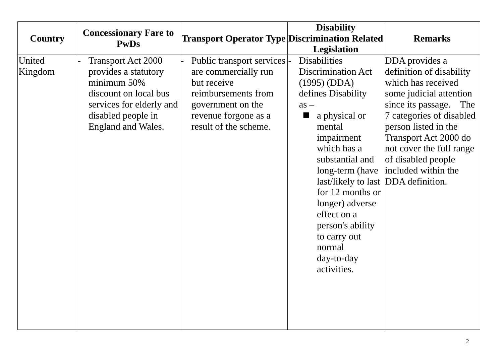| <b>Country</b>    | <b>Concessionary Fare to</b><br><b>PwDs</b>                                                                                                                       | <b>Transport Operator Type Discrimination Related</b>                                                                                                            | <b>Disability</b><br><b>Legislation</b>                                                                                                                                                                                                                                                                                                                                     | <b>Remarks</b>                                                                                                                                                                                                                                                                 |
|-------------------|-------------------------------------------------------------------------------------------------------------------------------------------------------------------|------------------------------------------------------------------------------------------------------------------------------------------------------------------|-----------------------------------------------------------------------------------------------------------------------------------------------------------------------------------------------------------------------------------------------------------------------------------------------------------------------------------------------------------------------------|--------------------------------------------------------------------------------------------------------------------------------------------------------------------------------------------------------------------------------------------------------------------------------|
| United<br>Kingdom | <b>Transport Act 2000</b><br>provides a statutory<br>minimum 50%<br>discount on local bus<br>services for elderly and<br>disabled people in<br>England and Wales. | Public transport services  -<br>are commercially run<br>but receive<br>reimbursements from<br>government on the<br>revenue forgone as a<br>result of the scheme. | <b>Disabilities</b><br><b>Discrimination Act</b><br>(1995) (DDA)<br>defines Disability<br>$as -$<br>a physical or<br>▬<br>mental<br>impairment<br>which has a<br>substantial and<br>long-term (have<br>last/likely to last DDA definition.<br>for 12 months or<br>longer) adverse<br>effect on a<br>person's ability<br>to carry out<br>normal<br>day-to-day<br>activities. | DDA provides a<br>definition of disability<br>which has received<br>some judicial attention<br>since its passage.<br>The<br>7 categories of disabled<br>person listed in the<br>Transport Act 2000 do<br>not cover the full range<br>of disabled people<br>included within the |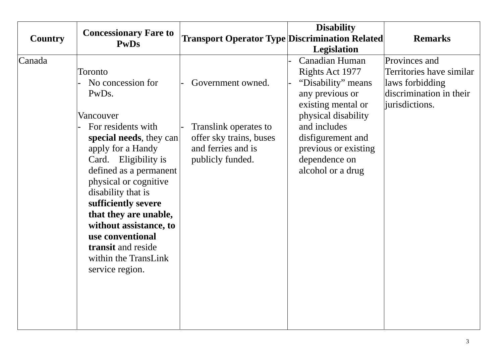| <b>Country</b> | <b>Concessionary Fare to</b><br><b>PwDs</b>                                                                                                                                                                                                                                                                                                                                                           | <b>Transport Operator Type Discrimination Related</b>                                                           | <b>Disability</b>                                                                                                                                                                                                                                | <b>Remarks</b>                                                                                            |
|----------------|-------------------------------------------------------------------------------------------------------------------------------------------------------------------------------------------------------------------------------------------------------------------------------------------------------------------------------------------------------------------------------------------------------|-----------------------------------------------------------------------------------------------------------------|--------------------------------------------------------------------------------------------------------------------------------------------------------------------------------------------------------------------------------------------------|-----------------------------------------------------------------------------------------------------------|
| Canada         | Toronto<br>No concession for<br>PwD <sub>s</sub> .<br>Vancouver<br>For residents with<br>special needs, they can<br>apply for a Handy<br>Card. Eligibility is<br>defined as a permanent<br>physical or cognitive<br>disability that is<br>sufficiently severe<br>that they are unable,<br>without assistance, to<br>use conventional<br>transit and reside<br>within the TransLink<br>service region. | Government owned.<br>Translink operates to<br>offer sky trains, buses<br>and ferries and is<br>publicly funded. | <b>Legislation</b><br>Canadian Human<br>Rights Act 1977<br>"Disability" means<br>any previous or<br>existing mental or<br>physical disability<br>and includes<br>disfigurement and<br>previous or existing<br>dependence on<br>alcohol or a drug | Provinces and<br>Territories have similar<br>laws forbidding<br>discrimination in their<br>iurisdictions. |
|                |                                                                                                                                                                                                                                                                                                                                                                                                       |                                                                                                                 |                                                                                                                                                                                                                                                  |                                                                                                           |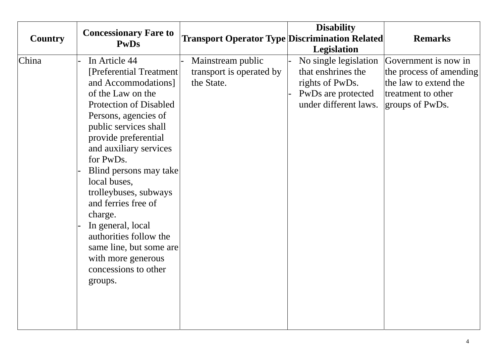| <b>Country</b> | <b>Concessionary Fare to</b>                                                                                                                                                                                                                                                                                                                                                                                                                                                   | <b>Transport Operator Type Discrimination Related</b>       | <b>Disability</b>                                                                                             | <b>Remarks</b>                                                                                                    |
|----------------|--------------------------------------------------------------------------------------------------------------------------------------------------------------------------------------------------------------------------------------------------------------------------------------------------------------------------------------------------------------------------------------------------------------------------------------------------------------------------------|-------------------------------------------------------------|---------------------------------------------------------------------------------------------------------------|-------------------------------------------------------------------------------------------------------------------|
|                | <b>PwDs</b>                                                                                                                                                                                                                                                                                                                                                                                                                                                                    |                                                             | <b>Legislation</b>                                                                                            |                                                                                                                   |
| China          | In Article 44<br>[Preferential Treatment]<br>and Accommodations]<br>of the Law on the<br><b>Protection of Disabled</b><br>Persons, agencies of<br>public services shall<br>provide preferential<br>and auxiliary services<br>for PwDs.<br>Blind persons may take<br>local buses,<br>trolleybuses, subways<br>and ferries free of<br>charge.<br>In general, local<br>authorities follow the<br>same line, but some are<br>with more generous<br>concessions to other<br>groups. | Mainstream public<br>transport is operated by<br>the State. | No single legislation<br>that enshrines the<br>rights of PwDs.<br>PwDs are protected<br>under different laws. | Government is now in<br>the process of amending<br>the law to extend the<br>treatment to other<br>groups of PwDs. |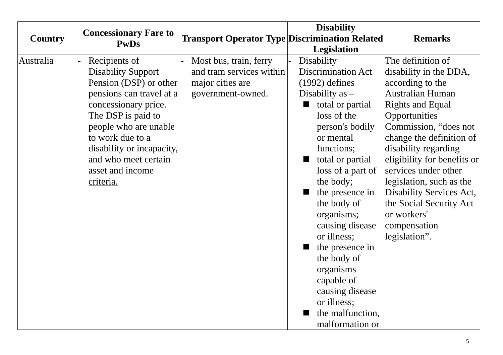|                | <b>Concessionary Fare to</b>                                                                                                                                                                                                                                                      |                                                                                             | <b>Disability</b>                                                                                                                                                                                                                                                                                                                                                                                                                                    |                                                                                                                                                                                                                                                                                                                                                                                                        |
|----------------|-----------------------------------------------------------------------------------------------------------------------------------------------------------------------------------------------------------------------------------------------------------------------------------|---------------------------------------------------------------------------------------------|------------------------------------------------------------------------------------------------------------------------------------------------------------------------------------------------------------------------------------------------------------------------------------------------------------------------------------------------------------------------------------------------------------------------------------------------------|--------------------------------------------------------------------------------------------------------------------------------------------------------------------------------------------------------------------------------------------------------------------------------------------------------------------------------------------------------------------------------------------------------|
| <b>Country</b> | <b>PwDs</b>                                                                                                                                                                                                                                                                       | <b>Transport Operator Type Discrimination Related</b>                                       | <b>Legislation</b>                                                                                                                                                                                                                                                                                                                                                                                                                                   | <b>Remarks</b>                                                                                                                                                                                                                                                                                                                                                                                         |
| Australia      | Recipients of<br><b>Disability Support</b><br>Pension (DSP) or other<br>pensions can travel at a<br>concessionary price.<br>The DSP is paid to<br>people who are unable<br>to work due to a<br>disability or incapacity,<br>and who meet certain<br>asset and income<br>criteria. | Most bus, train, ferry<br>and tram services within<br>major cities are<br>government-owned. | Disability<br><b>Discrimination Act</b><br>$(1992)$ defines<br>Disability as $-$<br>total or partial<br>■<br>loss of the<br>person's bodily<br>or mental<br>functions;<br>total or partial<br>loss of a part of<br>the body;<br>the presence in<br>the body of<br>organisms;<br>causing disease<br>or illness;<br>the presence in<br>the body of<br>organisms<br>capable of<br>causing disease<br>or illness;<br>the malfunction,<br>malformation or | The definition of<br>disability in the DDA,<br>according to the<br>Australian Human<br><b>Rights and Equal</b><br>Opportunities<br>Commission, "does not<br>change the definition of<br>disability regarding<br>eligibility for benefits or<br>services under other<br>legislation, such as the<br>Disability Services Act,<br>the Social Security Act<br>or workers'<br>compensation<br>legislation". |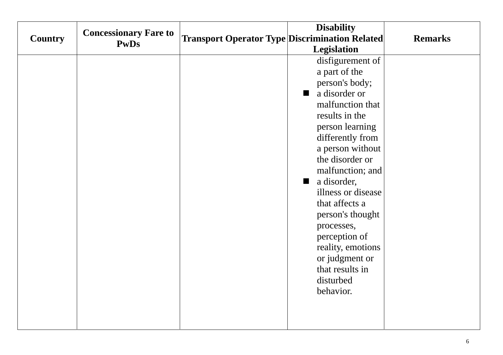|                | <b>Concessionary Fare to</b> |                                                       | <b>Disability</b>               |                |
|----------------|------------------------------|-------------------------------------------------------|---------------------------------|----------------|
| <b>Country</b> | <b>PwDs</b>                  | <b>Transport Operator Type Discrimination Related</b> |                                 | <b>Remarks</b> |
|                |                              |                                                       | <b>Legislation</b>              |                |
|                |                              |                                                       | disfigurement of                |                |
|                |                              |                                                       | a part of the                   |                |
|                |                              |                                                       | person's body;                  |                |
|                |                              |                                                       | a disorder or<br>$\blacksquare$ |                |
|                |                              |                                                       | malfunction that                |                |
|                |                              |                                                       | results in the                  |                |
|                |                              |                                                       | person learning                 |                |
|                |                              |                                                       | differently from                |                |
|                |                              |                                                       | a person without                |                |
|                |                              |                                                       | the disorder or                 |                |
|                |                              |                                                       | malfunction; and                |                |
|                |                              |                                                       | a disorder,<br>ш                |                |
|                |                              |                                                       | illness or disease              |                |
|                |                              |                                                       | that affects a                  |                |
|                |                              |                                                       | person's thought                |                |
|                |                              |                                                       | processes,                      |                |
|                |                              |                                                       | perception of                   |                |
|                |                              |                                                       | reality, emotions               |                |
|                |                              |                                                       | or judgment or                  |                |
|                |                              |                                                       | that results in                 |                |
|                |                              |                                                       | disturbed                       |                |
|                |                              |                                                       | behavior.                       |                |
|                |                              |                                                       |                                 |                |
|                |                              |                                                       |                                 |                |
|                |                              |                                                       |                                 |                |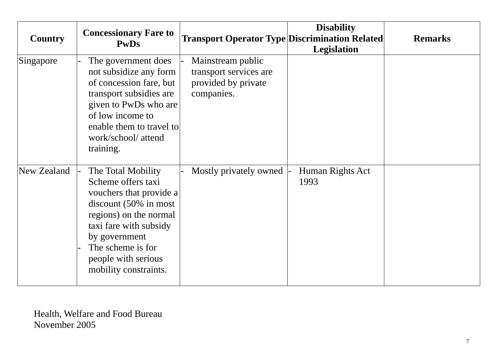| <b>Country</b> | <b>Concessionary Fare to</b><br><b>PwDs</b>                                                                                                                                                                                                        | <b>Transport Operator Type Discrimination Related</b>                            | <b>Disability</b><br><b>Legislation</b> | <b>Remarks</b> |
|----------------|----------------------------------------------------------------------------------------------------------------------------------------------------------------------------------------------------------------------------------------------------|----------------------------------------------------------------------------------|-----------------------------------------|----------------|
| Singapore      | The government does<br>not subsidize any form<br>of concession fare, but<br>transport subsidies are<br>given to PwDs who are<br>of low income to<br>enable them to travel to<br>work/school/ attend<br>training.                                   | Mainstream public<br>transport services are<br>provided by private<br>companies. |                                         |                |
| New Zealand    | The Total Mobility<br>Scheme offers taxi<br>vouchers that provide a<br>discount $(50\% \text{ in most})$<br>regions) on the normal<br>taxi fare with subsidy<br>by government<br>The scheme is for<br>people with serious<br>mobility constraints. | Mostly privately owned                                                           | Human Rights Act<br>1993                |                |

Health, Welfare and Food Bureau November 2005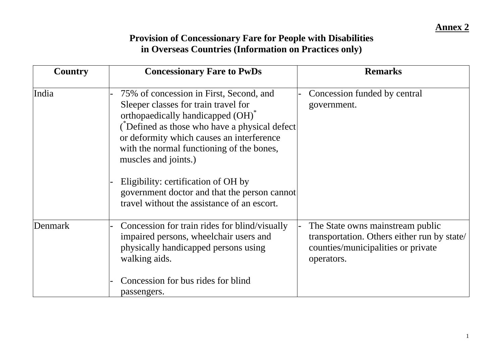## **Provision of Concessionary Fare for People with Disabilities in Overseas Countries (Information on Practices only)**

| Country | <b>Concessionary Fare to PwDs</b>                                                                                                                                                                                                                                                                                                                                                         | <b>Remarks</b>                                                                                                                      |
|---------|-------------------------------------------------------------------------------------------------------------------------------------------------------------------------------------------------------------------------------------------------------------------------------------------------------------------------------------------------------------------------------------------|-------------------------------------------------------------------------------------------------------------------------------------|
| India   | 75% of concession in First, Second, and<br>Sleeper classes for train travel for<br>orthopaedically handicapped (OH) <sup>*</sup><br>(Defined as those who have a physical defect<br>or deformity which causes an interference<br>with the normal functioning of the bones,<br>muscles and joints.)<br>Eligibility: certification of OH by<br>government doctor and that the person cannot | Concession funded by central<br>government.                                                                                         |
|         | travel without the assistance of an escort.                                                                                                                                                                                                                                                                                                                                               |                                                                                                                                     |
| Denmark | Concession for train rides for blind/visually<br>impaired persons, wheelchair users and<br>physically handicapped persons using<br>walking aids.                                                                                                                                                                                                                                          | The State owns mainstream public<br>transportation. Others either run by state/<br>counties/municipalities or private<br>operators. |
|         | Concession for bus rides for blind<br>passengers.                                                                                                                                                                                                                                                                                                                                         |                                                                                                                                     |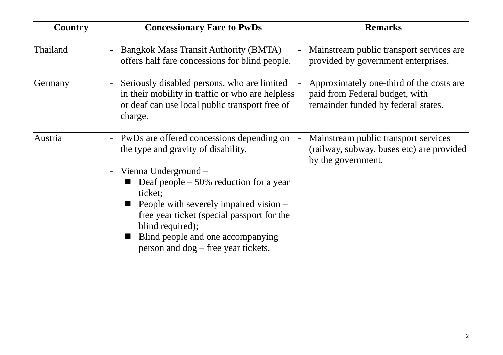| <b>Country</b> | <b>Concessionary Fare to PwDs</b>                                                                                                                                                                                                                                                                                                                       | <b>Remarks</b>                                                                                                    |
|----------------|---------------------------------------------------------------------------------------------------------------------------------------------------------------------------------------------------------------------------------------------------------------------------------------------------------------------------------------------------------|-------------------------------------------------------------------------------------------------------------------|
| Thailand       | <b>Bangkok Mass Transit Authority (BMTA)</b><br>offers half fare concessions for blind people.                                                                                                                                                                                                                                                          | Mainstream public transport services are<br>provided by government enterprises.                                   |
| Germany        | Seriously disabled persons, who are limited<br>in their mobility in traffic or who are helpless<br>or deaf can use local public transport free of<br>charge.                                                                                                                                                                                            | Approximately one-third of the costs are<br>paid from Federal budget, with<br>remainder funded by federal states. |
| Austria        | PwDs are offered concessions depending on<br>the type and gravity of disability.<br>Vienna Underground –<br>Deaf people $-50\%$ reduction for a year<br>ticket;<br>People with severely impaired vision –<br>free year ticket (special passport for the<br>blind required);<br>Blind people and one accompanying<br>person and dog – free year tickets. | Mainstream public transport services<br>(railway, subway, buses etc) are provided<br>by the government.           |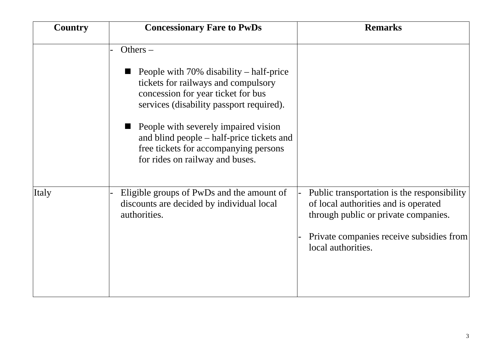| <b>Country</b> | <b>Concessionary Fare to PwDs</b>                                                                                                                                   | <b>Remarks</b>                                                                                                                                                                                |
|----------------|---------------------------------------------------------------------------------------------------------------------------------------------------------------------|-----------------------------------------------------------------------------------------------------------------------------------------------------------------------------------------------|
|                | Others $-$                                                                                                                                                          |                                                                                                                                                                                               |
|                | People with $70\%$ disability – half-price<br>tickets for railways and compulsory<br>concession for year ticket for bus<br>services (disability passport required). |                                                                                                                                                                                               |
|                | People with severely impaired vision<br>and blind people – half-price tickets and<br>free tickets for accompanying persons<br>for rides on railway and buses.       |                                                                                                                                                                                               |
| Italy          | Eligible groups of PwDs and the amount of<br>discounts are decided by individual local<br>authorities.                                                              | Public transportation is the responsibility<br>of local authorities and is operated<br>through public or private companies.<br>Private companies receive subsidies from<br>local authorities. |